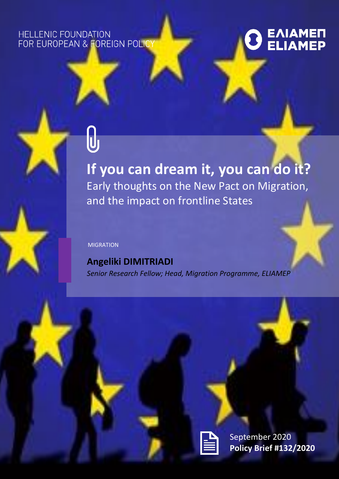### HELLENIC FOUNDATION FOR EUROPEAN & FOREIGN POLIC

# E<mark>AIAME</mark><br>ELIAMEP

## **If you can dream it, you can do it?** Early thoughts on the New Pact on Migration, and the impact on frontline States

#### MIGRATION

**Angeliki DIMITRIADI** *Senior Research Fellow; Head, Migration Programme, ELIAMEP*



September 2020 **Policy Brief #132/2020**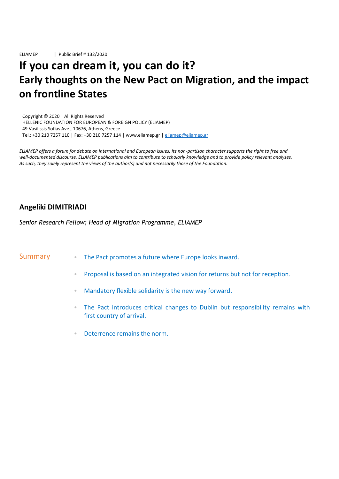ELIAMEP | Public Brief # 132/2020

## **If you can dream it, you can do it? Early thoughts on the New Pact on Migration, and the impact on frontline States**

Copyright © 2020 | All Rights Reserved HELLENIC FOUNDATION FOR EUROPEAN & FOREIGN POLICY (ELIAMEP) 49 Vasilissis Sofias Ave., 10676, Athens, Greece Tel.: +30 210 7257 110 | Fax: +30 210 7257 114 | www.eliamep.gr [| eliamep@eliamep.gr](mailto:eliamep@eliamep.gr)

*ELIAMEP offers a forum for debate on international and European issues. Its non-partisan character supports the right to free and well-documented discourse. ELIAMEP publications aim to contribute to scholarly knowledge and to provide policy relevant analyses. As such, they solely represent the views of the author(s) and not necessarily those of the Foundation.*

#### **Angeliki DIMITRIADI**

*Senior Research Fellow; Head of Migration Programme, ELIAMEP*

#### Summary **EXACT FINCE 1** The Pact promotes a future where Europe looks inward.

- Proposal is based on an integrated vision for returns but not for reception.
- Mandatory flexible solidarity is the new way forward.
- The Pact introduces critical changes to Dublin but responsibility remains with first country of arrival.
- Deterrence remains the norm.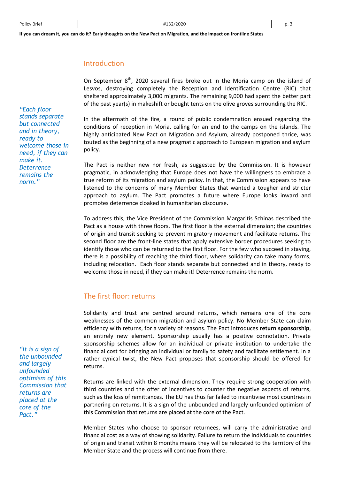#### Introduction

On September  $8<sup>th</sup>$ , 2020 several fires broke out in the Moria camp on the island of Lesvos, destroying completely the Reception and Identification Centre (RIC) that sheltered approximately 3,000 migrants. The remaining 9,000 had spent the better part of the past year(s) in makeshift or bought tents on the olive groves surrounding the RIC.

In the aftermath of the fire, a round of public condemnation ensued regarding the conditions of reception in Moria, calling for an end to the camps on the islands. The highly anticipated New Pact on Migration and Asylum, already postponed thrice, was touted as the beginning of a new pragmatic approach to European migration and asylum policy.

The Pact is neither new nor fresh, as suggested by the Commission. It is however pragmatic, in acknowledging that Europe does not have the willingness to embrace a true reform of its migration and asylum policy. In that, the Commission appears to have listened to the concerns of many Member States that wanted a tougher and stricter approach to asylum. The Pact promotes a future where Europe looks inward and promotes deterrence cloaked in humanitarian discourse.

To address this, the Vice President of the Commission Margaritis Schinas described the Pact as a house with three floors. The first floor is the external dimension; the countries of origin and transit seeking to prevent migratory movement and facilitate returns. The second floor are the front-line states that apply extensive border procedures seeking to identify those who can be returned to the first floor. For the few who succeed in staying, there is a possibility of reaching the third floor, where solidarity can take many forms, including relocation. Each floor stands separate but connected and in theory, ready to welcome those in need, if they can make it! Deterrence remains the norm.

#### The first floor: returns

Solidarity and trust are centred around returns, which remains one of the core weaknesses of the common migration and asylum policy. No Member State can claim efficiency with returns, for a variety of reasons. The Pact introduces **return sponsorship**, an entirely new element. Sponsorship usually has a positive connotation. Private sponsorship schemes allow for an individual or private institution to undertake the financial cost for bringing an individual or family to safety and facilitate settlement. In a rather cynical twist, the New Pact proposes that sponsorship should be offered for returns.

Returns are linked with the external dimension. They require strong cooperation with third countries and the offer of incentives to counter the negative aspects of returns, such as the loss of remittances. The EU has thus far failed to incentivise most countries in partnering on returns. It is a sign of the unbounded and largely unfounded optimism of this Commission that returns are placed at the core of the Pact.

Member States who choose to sponsor returnees, will carry the administrative and financial cost as a way of showing solidarity. Failure to return the individuals to countries of origin and transit within 8 months means they will be relocated to the territory of the Member State and the process will continue from there.

*"Each floor stands separate but connected and in theory, ready to welcome those in need, if they can make it. Deterrence remains the norm."*

*"It is a sign of the unbounded and largely unfounded optimism of this Commission that returns are placed at the core of the Pact."*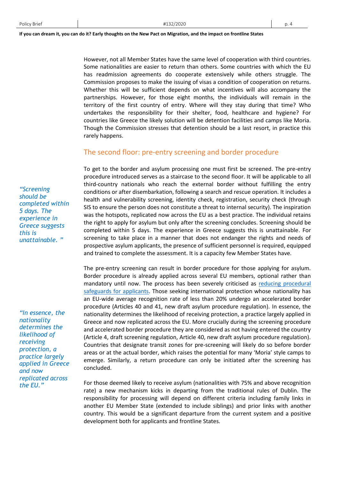However, not all Member States have the same level of cooperation with third countries. Some nationalities are easier to return than others. Some countries with which the EU has readmission agreements do cooperate extensively while others struggle. The Commission proposes to make the issuing of visas a condition of cooperation on returns. Whether this will be sufficient depends on what incentives will also accompany the partnerships. However, for those eight months, the individuals will remain in the territory of the first country of entry. Where will they stay during that time? Who undertakes the responsibility for their shelter, food, healthcare and hygiene? For countries like Greece the likely solution will be detention facilities and camps like Moria. Though the Commission stresses that detention should be a last resort, in practice this rarely happens.

#### The second floor: pre-entry screening and border procedure

To get to the border and asylum processing one must first be screened. The pre-entry procedure introduced serves as a staircase to the second floor. It will be applicable to all third-country nationals who reach the external border without fulfilling the entry conditions or after disembarkation, following a search and rescue operation. It includes a health and vulnerability screening, identity check, registration, security check (through SIS to ensure the person does not constitute a threat to internal security). The inspiration was the hotspots, replicated now across the EU as a best practice. The individual retains the right to apply for asylum but only after the screening concludes. Screening should be completed within 5 days. The experience in Greece suggests this is unattainable. For screening to take place in a manner that does not endanger the rights and needs of prospective asylum applicants, the presence of sufficient personnel is required, equipped and trained to complete the assessment. It is a capacity few Member States have.

The pre-entry screening can result in border procedure for those applying for asylum. Border procedure is already applied across several EU members, optional rather than mandatory until now. The process has been severely criticised as [reducing procedural](https://www.ecre.org/wp-content/uploads/2019/07/Policy-Note-21.pdf)  [safeguards for applicants.](https://www.ecre.org/wp-content/uploads/2019/07/Policy-Note-21.pdf) Those seeking international protection whose nationality has an EU-wide average recognition rate of less than 20% undergo an accelerated border procedure (Articles 40 and 41, new draft asylum procedure regulation). In essence, the nationality determines the likelihood of receiving protection, a practice largely applied in Greece and now replicated across the EU. More crucially during the screening procedure and accelerated border procedure they are considered as not having entered the country (Article 4, draft screening regulation, Article 40, new draft asylum procedure regulation). Countries that designate transit zones for pre-screening will likely do so before border areas or at the actual border, which raises the potential for many 'Moria' style camps to emerge. Similarly, a return procedure can only be initiated after the screening has concluded.

For those deemed likely to receive asylum (nationalities with 75% and above recognition rate) a new mechanism kicks in departing from the traditional rules of Dublin. The responsibility for processing will depend on different criteria including family links in another EU Member State (extended to include siblings) and prior links with another country. This would be a significant departure from the current system and a positive development both for applicants and frontline States.

*"Screening should be completed within 5 days. The experience in Greece suggests this is unattainable. "* 

*"In essence, the nationality determines the likelihood of receiving protection, a practice largely applied in Greece and now replicated across the EU."*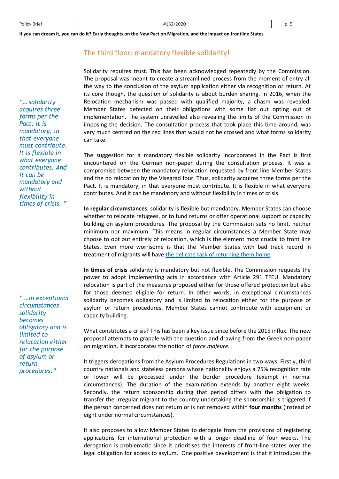*"… solidarity acquires three forms per the Pact. It is mandatory, in that everyone must contribute. It is flexible in what everyone contributes. And it can be mandatory and without flexibility in times of crisis. "* 

*" …in exceptional circumstances solidarity becomes obligatory and is limited to relocation either for the purpose of asylum or return procedures."* 

#### The third floor: mandatory flexible solidarity!

Solidarity requires trust. This has been acknowledged repeatedly by the Commission. The proposal was meant to create a streamlined process from the moment of entry all the way to the conclusion of the asylum application either via recognition or return. At its core though, the question of solidarity is about burden sharing. In 2016, when the Relocation mechanism was passed with qualified majority, a chasm was revealed. Member States defected on their obligations with some flat out opting out of implementation. The system unravelled also revealing the limits of the Commission in imposing the decision. The consultation process that took place this time around, was very much centred on the red lines that would not be crossed and what forms solidarity can take.

The suggestion for a mandatory flexible solidarity incorporated in the Pact is first encountered on the German non-paper during the consultation process. It was a compromise between the mandatory relocation requested by front line Member States and the no relocation by the Visegrad four. Thus, solidarity acquires three forms per the Pact. It is mandatory, in that everyone must contribute. It is flexible in what everyone contributes. And it can be mandatory and without flexibility in times of crisis.

**In regular circumstances**, solidarity is flexible but mandatory. Member States can choose whether to relocate refugees, or to fund returns or offer operational support or capacity building on asylum procedures. The proposal by the Commission sets no limit, neither minimum nor maximum. This means in regular circumstances a Member State may choose to opt out entirely of relocation, which is the element most crucial to front line States. Even more worrisome is that the Member States with bad track record in treatment of migrants will hav[e the delicate task of returning them home.](https://blog.novamigra.eu/2020/09/24/the-new-pact-on-migration-and-asylum-a-critical-first-look-analysis/)

**In times of crisis** solidarity is mandatory but not flexible. The Commission requests the power to adopt implementing acts in accordance with Article 291 TFEU. Mandatory relocation is part of the measures proposed either for those offered protection but also for those deemed eligible for return. In other words, in exceptional circumstances solidarity becomes obligatory and is limited to relocation either for the purpose of asylum or return procedures. Member States cannot contribute with equipment or capacity building.

What constitutes a crisis? This has been a key issue since before the 2015 influx. The new proposal attempts to grapple with the question and drawing from the Greek non-paper on migration, it incorporates the notion of *force majeure*.

It triggers derogations from the Asylum Procedures Regulations in two ways. Firstly, third country nationals and stateless persons whose nationality enjoys a 75% recognition rate or lower will be processed under the border procedure (exempt in normal circumstances). The duration of the examination extends by another eight weeks. Secondly, the return sponsorship during that period differs with the obligation to transfer the irregular migrant to the country undertaking the sponsorship is triggered if the person concerned does not return or is not removed within **four months** (instead of eight under normal circumstances).

It also proposes to allow Member States to derogate from the provisions of registering applications for international protection with a longer deadline of four weeks. The derogation is problematic since it prioritises the interests of front-line states over the legal obligation for access to asylum. One positive development is that it introduces the